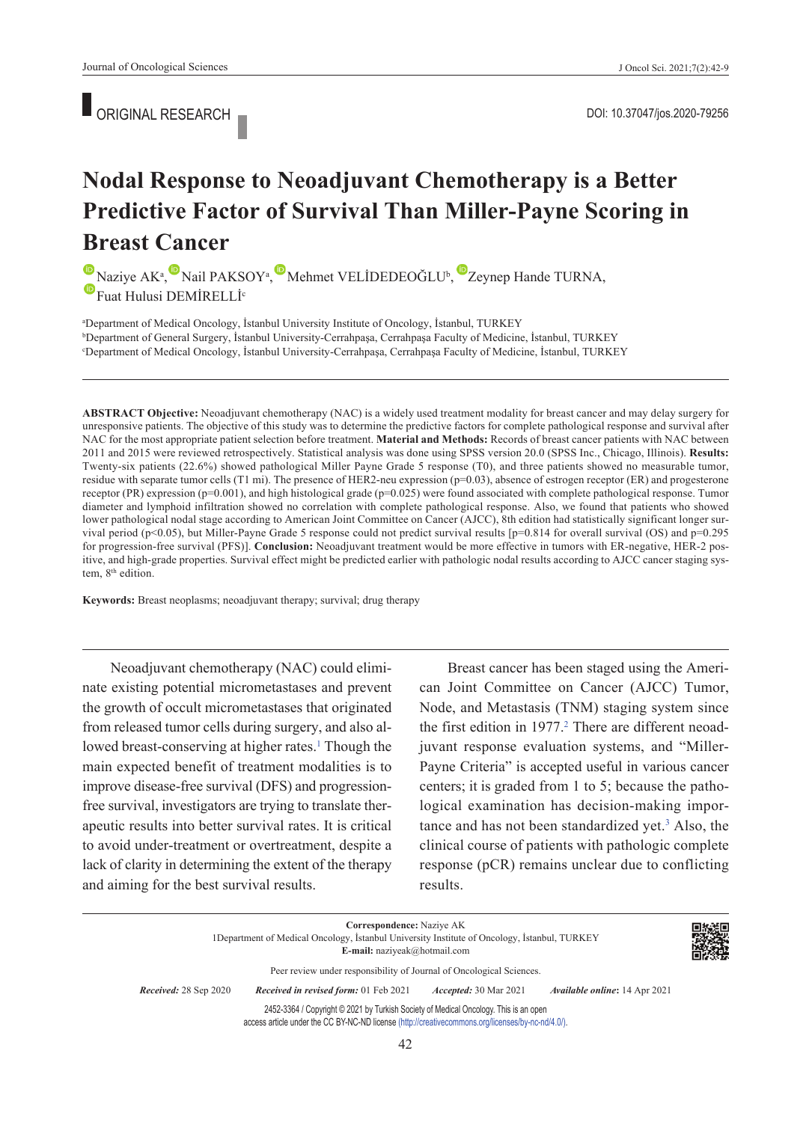ORIGINAL RESEARCH

# **Nodal Response to Neoadjuvant Chemotherapy is a Better Predictive Factor of Survival Than Miller-Payne Scoring in Breast Cancer**

NaziyeAK<sup>a</sup>[,](https://orcid.org/0000-0002-0239-1717) Nail PAKSOY<sup>a</sup>, Mehmet VELİDEDEOĞLU<sup>b</sup>, Zeynep Hande TURNA, **E**Fuat Hulusi DEMİRELLİ<sup>c</sup>

a Department of Medical Oncology, İstanbul University Institute of Oncology, İstanbul, TURKEY b <sup>b</sup>Department of General Surgery, İstanbul University-Cerrahpaşa, Cerrahpaşa Faculty of Medicine, İstanbul, TURKEY Department of Medical Oncology, İstanbul University-Cerrahpaşa, Cerrahpaşa Faculty of Medicine, İstanbul, TURKEY

**ABS TRACT Objective:** Neoadjuvant chemotherapy (NAC) is a widely used treatment modality for breast cancer and may delay surgery for unresponsive patients. The objective of this study was to determine the predictive factors for complete pathological response and survival after NAC for the most appropriate patient selection before treatment. **Material and Methods:** Records of breast cancer patients with NAC between 2011 and 2015 were reviewed retrospectively. Statistical analysis was done using SPSS version 20.0 (SPSS Inc., Chicago, Illinois). **Results:**  Twenty-six patients (22.6%) showed pathological Miller Payne Grade 5 response (T0), and three patients showed no measurable tumor, residue with separate tumor cells (T1 mi). The presence of HER2-neu expression (p=0.03), absence of estrogen receptor (ER) and progesterone receptor (PR) expression (p=0.001), and high histological grade (p=0.025) were found associated with complete pathological response. Tumor diameter and lymphoid infiltration showed no correlation with complete pathological response. Also, we found that patients who showed lower pathological nodal stage according to American Joint Committee on Cancer (AJCC), 8th edition had statistically significant longer survival period (p<0.05), but Miller-Payne Grade 5 response could not predict survival results [p=0.814 for overall survival (OS) and p=0.295 for progression-free survival (PFS)]. **Conclusion:** Neoadjuvant treatment would be more effective in tumors with ER-negative, HER-2 positive, and high-grade properties. Survival effect might be predicted earlier with pathologic nodal results according to AJCC cancer staging system, 8<sup>th</sup> edition.

**Keywords:** Breast neoplasms; neoadjuvant therapy; survival; drug therapy

Neoadjuvant chemotherapy (NAC) could eliminate existing potential micrometastases and prevent the growth of occult micrometastases that originated from released tumor cells during surgery, and also allowed breast-conserving at higher rates.<sup>1</sup> Though the main expected benefit of treatment modalities is to improve disease-free survival (DFS) and progressionfree survival, investigators are trying to translate therapeutic results into better survival rates. It is critical to avoid under-treatment or overtreatment, despite a lack of clarity in determining the extent of the therapy and aiming for the best survival results.

Breast cancer has been staged using the American Joint Committee on Cancer (AJCC) Tumor, Node, and Metastasis (TNM) staging system since the first edition in 1977.<sup>2</sup> There are different neoadjuvant response evaluation systems, and "Miller-Payne Criteria" is accepted useful in various cancer centers; it is graded from 1 to 5; because the pathological examination has decision-making importance and has not been standardized yet.<sup>3</sup> Also, the clinical course of patients with pathologic complete response (pCR) remains unclear due to conflicting results.

**Correspondence:** Naziye AK 1Department of Medical Oncology, İstanbul University Institute of Oncology, İstanbul, TURKEY **E-mail:** naziyeak@hotmail.com Peer review under responsibility of Journal of Oncological Sciences. *Re ce i ved:* 28 Sep 2020 *Received in revised form:* 01 Feb 2021 *Ac cep ted:* 30 Mar 2021 *Available online***:** 14 Apr 2021 2452-3364 / Copyright © 2021 by Turkish Society of Medical Oncology. This is an open access article under the CC BY-NC-ND license [\(http://creativecommons.org/licenses/by-nc-nd/4.0/\)](https://creativecommons.org/licenses/by-nc-nd/4.0/).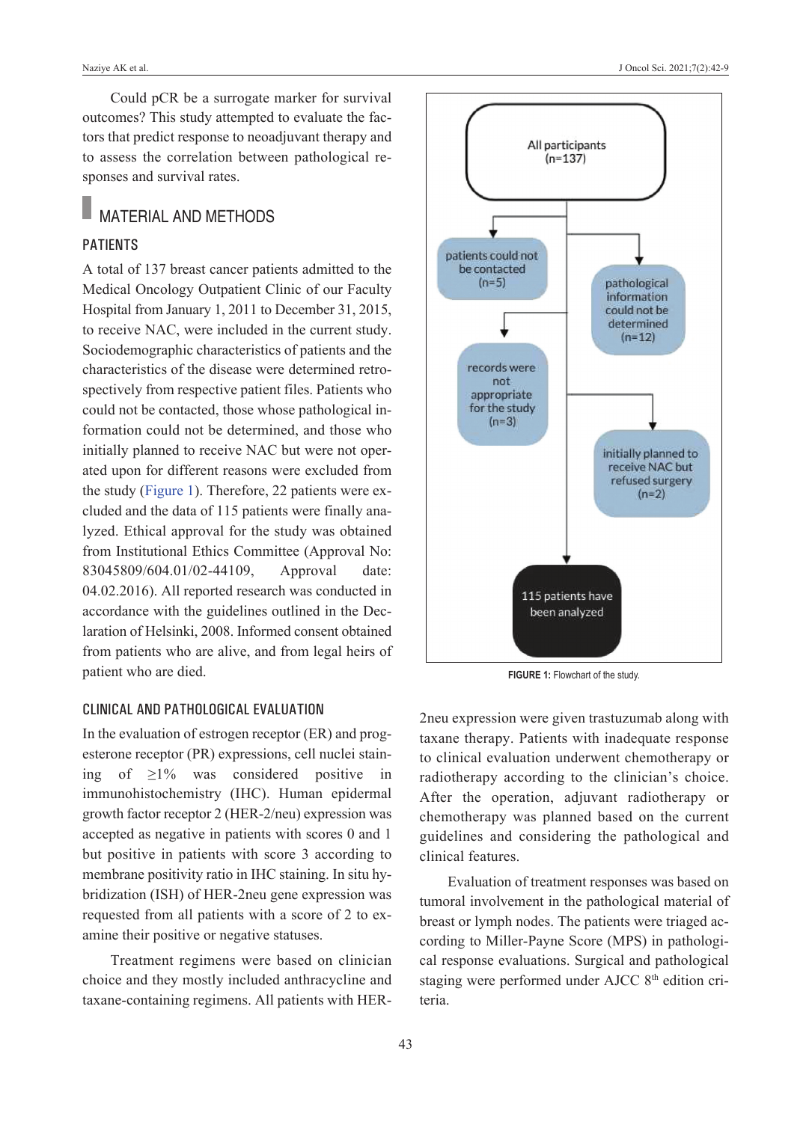Could pCR be a surrogate marker for survival outcomes? This study attempted to evaluate the factors that predict response to neoadjuvant therapy and to assess the correlation between pathological responses and survival rates.

# MATERIAL AND METHODS

## **PATIENTS**

A total of 137 breast cancer patients admitted to the Medical Oncology Outpatient Clinic of our Faculty Hospital from January 1, 2011 to December 31, 2015, to receive NAC, were included in the current study. Sociodemographic characteristics of patients and the characteristics of the disease were determined retrospectively from respective patient files. Patients who could not be contacted, those whose pathological information could not be determined, and those who initially planned to receive NAC but were not operated upon for different reasons were excluded from the study [\(Figure 1\)](#page-1-0). Therefore, 22 patients were excluded and the data of 115 patients were finally analyzed. Ethical approval for the study was obtained from Institutional Ethics Committee (Approval No: 83045809/604.01/02-44109, Approval date: 04.02.2016). All reported research was conducted in accordance with the guidelines outlined in the Declaration of Helsinki, 2008. Informed consent obtained from patients who are alive, and from legal heirs of patient who are died.

### CliniCal and PathologiCal evaluation

In the evaluation of estrogen receptor (ER) and progesterone receptor (PR) expressions, cell nuclei staining of ≥1% was considered positive in immunohistochemistry (IHC). Human epidermal growth factor receptor 2 (HER-2/neu) expression was accepted as negative in patients with scores 0 and 1 but positive in patients with score 3 according to membrane positivity ratio in IHC staining. In situ hybridization (ISH) of HER-2neu gene expression was requested from all patients with a score of 2 to examine their positive or negative statuses.

Treatment regimens were based on clinician choice and they mostly included anthracycline and taxane-containing regimens. All patients with HER-



<span id="page-1-0"></span>**FIGURE 1:** Flowchart of the study.

2neu expression were given trastuzumab along with taxane therapy. Patients with inadequate response to clinical evaluation underwent chemotherapy or radiotherapy according to the clinician's choice. After the operation, adjuvant radiotherapy or chemotherapy was planned based on the current guidelines and considering the pathological and clinical features.

Evaluation of treatment responses was based on tumoral involvement in the pathological material of breast or lymph nodes. The patients were triaged according to Miller-Payne Score (MPS) in pathological response evaluations. Surgical and pathological staging were performed under AJCC 8<sup>th</sup> edition criteria.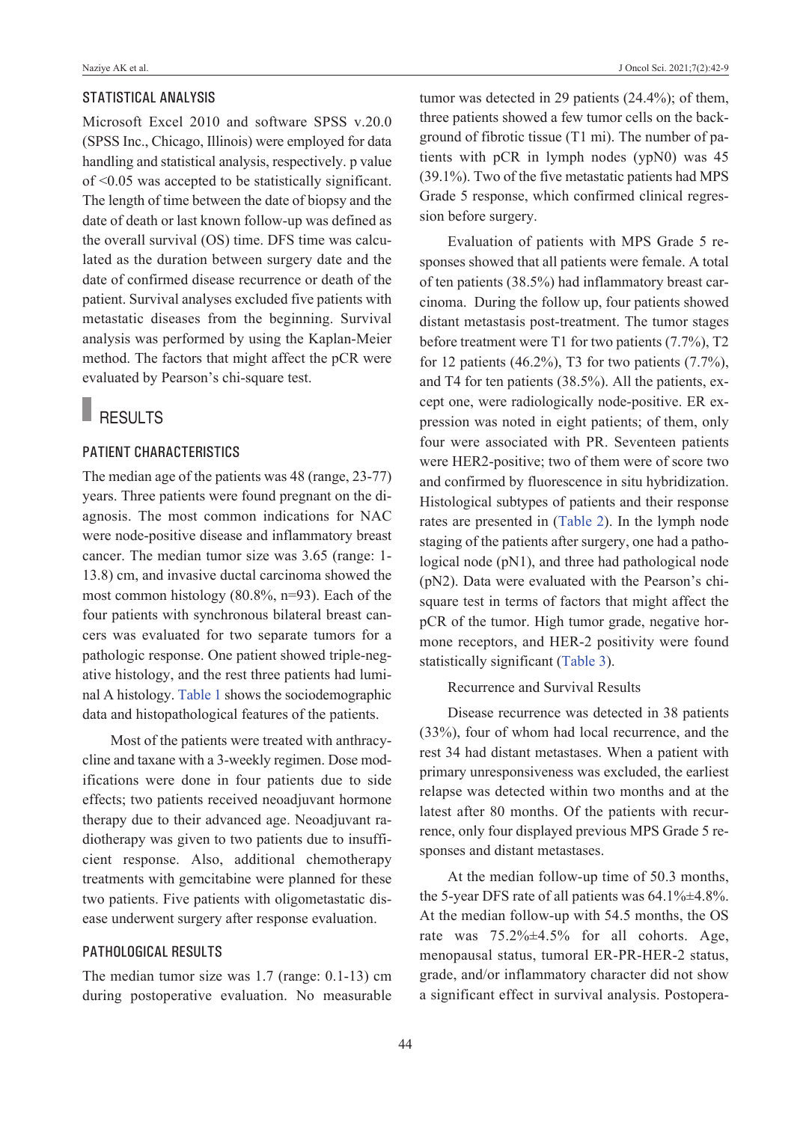## statistiCal analysis

Microsoft Excel 2010 and software SPSS v.20.0 (SPSS Inc., Chicago, Illinois) were employed for data handling and statistical analysis, respectively. p value of <0.05 was accepted to be statistically significant. The length of time between the date of biopsy and the date of death or last known follow-up was defined as the overall survival (OS) time. DFS time was calculated as the duration between surgery date and the date of confirmed disease recurrence or death of the patient. Survival analyses excluded five patients with metastatic diseases from the beginning. Survival analysis was performed by using the Kaplan-Meier method. The factors that might affect the pCR were evaluated by Pearson's chi-square test.

# RESULTS

# PATIENT CHARACTERISTICS

The median age of the patients was 48 (range, 23-77) years. Three patients were found pregnant on the diagnosis. The most common indications for NAC were node-positive disease and inflammatory breast cancer. The median tumor size was 3.65 (range: 1- 13.8) cm, and invasive ductal carcinoma showed the most common histology (80.8%, n=93). Each of the four patients with synchronous bilateral breast cancers was evaluated for two separate tumors for a pathologic response. One patient showed triple-negative histology, and the rest three patients had luminal A histology. [Table 1](#page-3-0) shows the sociodemographic data and histopathological features of the patients.

Most of the patients were treated with anthracycline and taxane with a 3-weekly regimen. Dose modifications were done in four patients due to side effects; two patients received neoadjuvant hormone therapy due to their advanced age. Neoadjuvant radiotherapy was given to two patients due to insufficient response. Also, additional chemotherapy treatments with gemcitabine were planned for these two patients. Five patients with oligometastatic disease underwent surgery after response evaluation.

# PathologiCal results

The median tumor size was 1.7 (range: 0.1-13) cm during postoperative evaluation. No measurable tumor was detected in 29 patients (24.4%); of them, three patients showed a few tumor cells on the background of fibrotic tissue (T1 mi). The number of patients with pCR in lymph nodes (ypN0) was 45 (39.1%). Two of the five metastatic patients had MPS Grade 5 response, which confirmed clinical regression before surgery.

Evaluation of patients with MPS Grade 5 responses showed that all patients were female. A total of ten patients (38.5%) had inflammatory breast carcinoma. During the follow up, four patients showed distant metastasis post-treatment. The tumor stages before treatment were T1 for two patients (7.7%), T2 for 12 patients (46.2%), T3 for two patients (7.7%), and T4 for ten patients (38.5%). All the patients, except one, were radiologically node-positive. ER expression was noted in eight patients; of them, only four were associated with PR. Seventeen patients were HER2-positive; two of them were of score two and confirmed by fluorescence in situ hybridization. Histological subtypes of patients and their response rates are presented in [\(Table 2\)](#page-4-0). In the lymph node staging of the patients after surgery, one had a pathological node (pN1), and three had pathological node (pN2). Data were evaluated with the Pearson's chisquare test in terms of factors that might affect the pCR of the tumor. High tumor grade, negative hormone receptors, and HER-2 positivity were found statistically significant [\(Table 3\)](#page-4-1).

#### Recurrence and Survival Results

Disease recurrence was detected in 38 patients (33%), four of whom had local recurrence, and the rest 34 had distant metastases. When a patient with primary unresponsiveness was excluded, the earliest relapse was detected within two months and at the latest after 80 months. Of the patients with recurrence, only four displayed previous MPS Grade 5 responses and distant metastases.

At the median follow-up time of 50.3 months, the 5-year DFS rate of all patients was  $64.1\% \pm 4.8\%$ . At the median follow-up with 54.5 months, the OS rate was 75.2%±4.5% for all cohorts. Age, menopausal status, tumoral ER-PR-HER-2 status, grade, and/or inflammatory character did not show a significant effect in survival analysis. Postopera-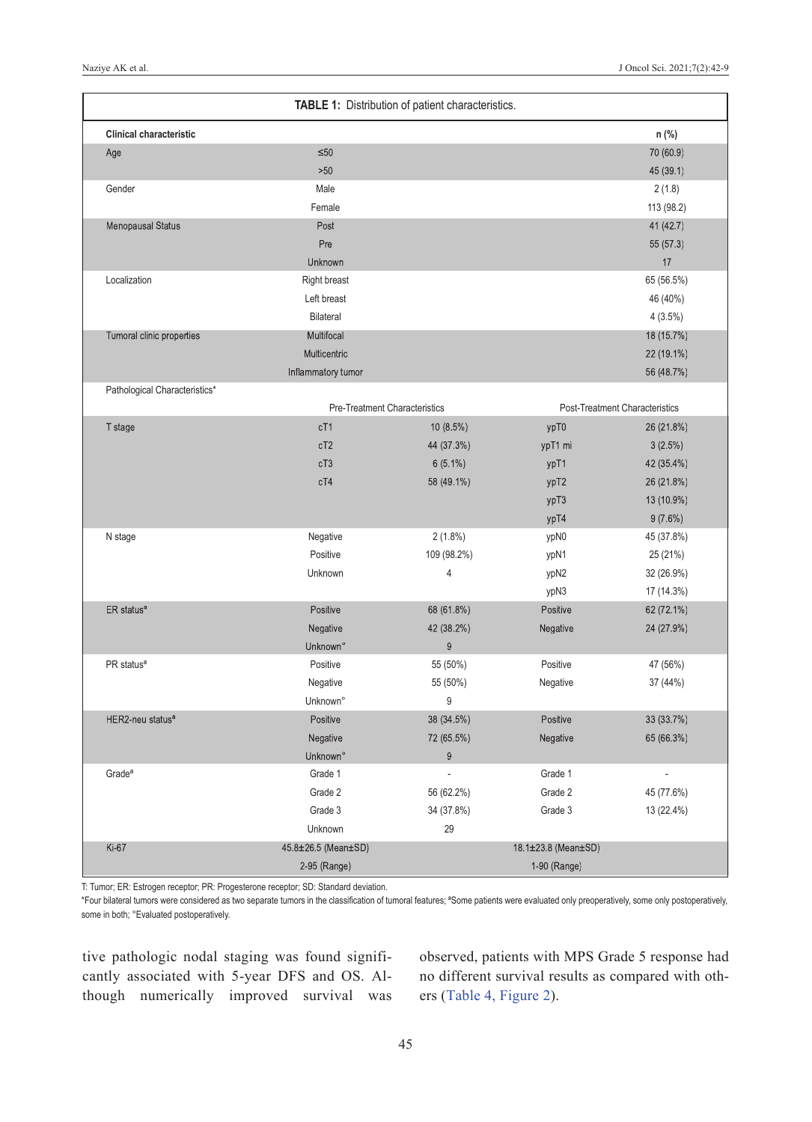| TABLE 1: Distribution of patient characteristics. |                                                                 |                  |                     |            |  |  |
|---------------------------------------------------|-----------------------------------------------------------------|------------------|---------------------|------------|--|--|
| <b>Clinical characteristic</b>                    |                                                                 |                  |                     | n (%)      |  |  |
| Age                                               | $\leq 50$                                                       |                  |                     |            |  |  |
|                                                   | $>50$                                                           |                  |                     | 45 (39.1)  |  |  |
| Gender                                            | Male                                                            |                  |                     | 2(1.8)     |  |  |
|                                                   | Female                                                          |                  |                     | 113 (98.2) |  |  |
| <b>Menopausal Status</b>                          | Post                                                            |                  |                     | 41 (42.7)  |  |  |
|                                                   | Pre                                                             |                  |                     | 55 (57.3)  |  |  |
|                                                   | Unknown                                                         |                  |                     | 17         |  |  |
| Localization                                      | <b>Right breast</b>                                             |                  |                     | 65 (56.5%) |  |  |
|                                                   | Left breast                                                     |                  |                     | 46 (40%)   |  |  |
|                                                   | Bilateral                                                       |                  |                     | 4(3.5%)    |  |  |
| Tumoral clinic properties                         | Multifocal                                                      |                  |                     | 18 (15.7%) |  |  |
|                                                   | Multicentric                                                    |                  |                     | 22 (19.1%) |  |  |
|                                                   | Inflammatory tumor                                              |                  |                     | 56 (48.7%) |  |  |
| Pathological Characteristics*                     |                                                                 |                  |                     |            |  |  |
|                                                   | Pre-Treatment Characteristics<br>Post-Treatment Characteristics |                  |                     |            |  |  |
| T stage                                           | cT1                                                             | 10 (8.5%)        | ypT0                | 26 (21.8%) |  |  |
|                                                   | cT2                                                             | 44 (37.3%)       | ypT1 mi             | 3(2.5%)    |  |  |
|                                                   | cT3                                                             | $6(5.1\%)$       | ypT1                | 42 (35.4%) |  |  |
|                                                   | cT4                                                             | 58 (49.1%)       | ypT2                | 26 (21.8%) |  |  |
|                                                   |                                                                 |                  | ypT3                | 13 (10.9%) |  |  |
|                                                   |                                                                 |                  | ypT4                | 9(7.6%)    |  |  |
| N stage                                           | Negative                                                        | 2(1.8%)          | ypN0                | 45 (37.8%) |  |  |
|                                                   | Positive                                                        | 109 (98.2%)      | ypN1                | 25 (21%)   |  |  |
|                                                   | Unknown                                                         | 4                | ypN2                | 32 (26.9%) |  |  |
|                                                   |                                                                 |                  | ypN3                | 17 (14.3%) |  |  |
| ER status <sup>a</sup>                            | Positive                                                        | 68 (61.8%)       | Positive            | 62 (72.1%) |  |  |
|                                                   | Negative                                                        | 42 (38.2%)       | Negative            | 24 (27.9%) |  |  |
|                                                   | Unknown°                                                        | $\boldsymbol{9}$ |                     |            |  |  |
| PR status <sup>a</sup>                            | Positive                                                        | 55 (50%)         | Positive            | 47 (56%)   |  |  |
|                                                   | Negative                                                        | 55 (50%)         | Negative            | 37 (44%)   |  |  |
|                                                   | Unknown°                                                        | 9                |                     |            |  |  |
| HER2-neu status <sup>a</sup>                      | Positive                                                        | 38 (34.5%)       | Positive            | 33 (33.7%) |  |  |
|                                                   | Negative                                                        | 72 (65.5%)       | Negative            | 65 (66.3%) |  |  |
|                                                   | Unknown°                                                        | $\boldsymbol{9}$ |                     |            |  |  |
| Grade <sup>a</sup>                                | Grade 1                                                         |                  | Grade 1             |            |  |  |
|                                                   | Grade 2                                                         | 56 (62.2%)       | Grade 2             | 45 (77.6%) |  |  |
|                                                   | Grade 3                                                         | 34 (37.8%)       | Grade 3             | 13 (22.4%) |  |  |
|                                                   | Unknown                                                         | 29               |                     |            |  |  |
| Ki-67                                             | 45.8±26.5 (Mean±SD)                                             |                  | 18.1±23.8 (Mean±SD) |            |  |  |
|                                                   | 2-95 (Range)                                                    |                  | 1-90 (Range)        |            |  |  |

T: Tumor; ER: Estrogen receptor; PR: Progesterone receptor; SD: Standard deviation.

\*Four bilateral tumors were considered as two separate tumors in the classification of tumoral features; ªSome patients were evaluated only preoperatively, some only postoperatively, some in both; °Evaluated postoperatively.

tive pathologic nodal staging was found significantly associated with 5-year DFS and OS. Although numerically improved survival was

<span id="page-3-0"></span>observed, patients with MPS Grade 5 response had no different survival results as compared with others [\(Table 4,](#page-4-2) [Figure 2\)](#page-5-0).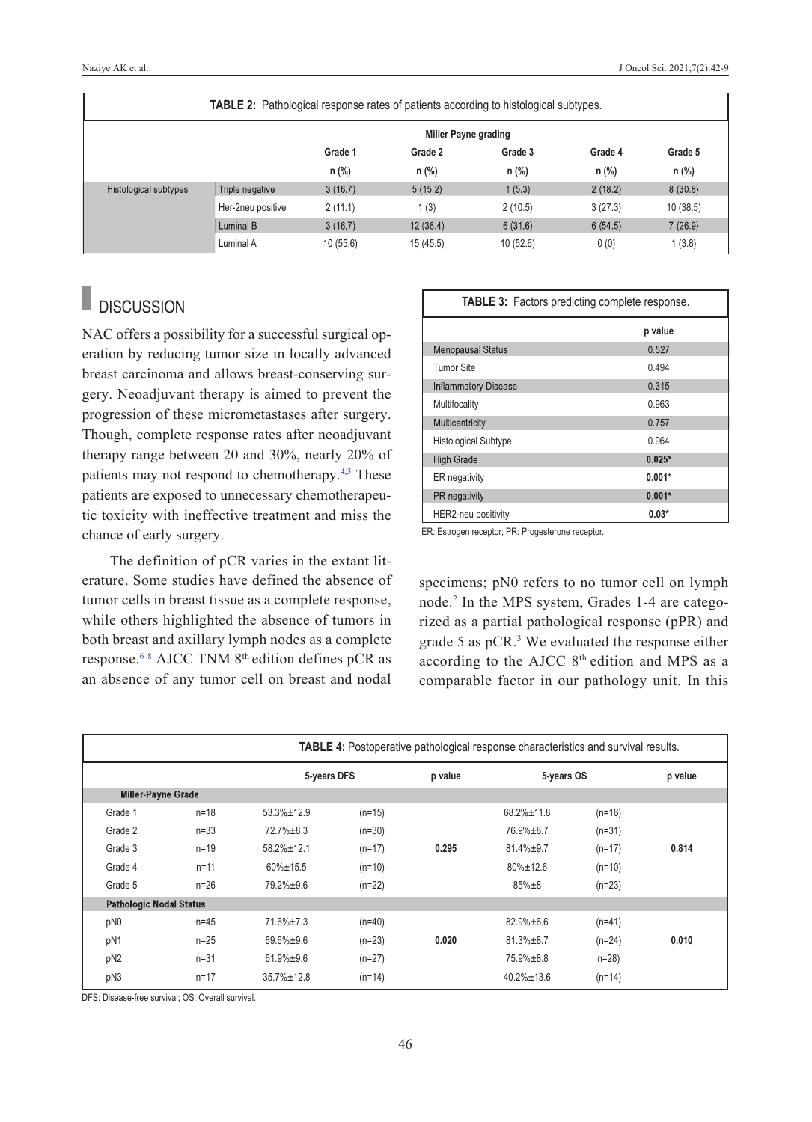| <b>TABLE 2:</b> Pathological response rates of patients according to histological subtypes. |                   |                             |          |          |         |          |
|---------------------------------------------------------------------------------------------|-------------------|-----------------------------|----------|----------|---------|----------|
|                                                                                             |                   | <b>Miller Payne grading</b> |          |          |         |          |
|                                                                                             |                   | Grade 1                     | Grade 2  | Grade 3  | Grade 4 | Grade 5  |
|                                                                                             |                   | $n$ (%)                     | $n$ (%)  | $n$ (%)  | $n$ (%) | n (%)    |
| Histological subtypes                                                                       | Triple negative   | 3(16.7)                     | 5(15.2)  | 1(5.3)   | 2(18.2) | 8(30.8)  |
|                                                                                             | Her-2neu positive | 2(11.1)                     | 1(3)     | 2(10.5)  | 3(27.3) | 10(38.5) |
|                                                                                             | Luminal B         | 3(16.7)                     | 12(36.4) | 6(31.6)  | 6(54.5) | 7(26.9)  |
|                                                                                             | Luminal A         | 10(55.6)                    | 15(45.5) | 10(52.6) | 0(0)    | 1(3.8)   |

#### п **DISCUSSION**

NAC offers a possibility for a successful surgical operation by reducing tumor size in locally advanced breast carcinoma and allows breast-conserving surgery. Neoadjuvant therapy is aimed to prevent the progression of these micrometastases after surgery. Though, complete response rates after neoadjuvant therapy range between 20 and 30%, nearly 20% of patients may not respond to chemotherapy.<sup>4,5</sup> These patients are exposed to unnecessary chemotherapeutic toxicity with ineffective treatment and miss the chance of early surgery.

The definition of pCR varies in the extant literature. Some studies have defined the absence of tumor cells in breast tissue as a complete response, while others highlighted the absence of tumors in both breast and axillary lymph nodes as a complete response[.6-8](#page-7-0) AJCC TNM 8th edition defines pCR as an absence of any tumor cell on breast and nodal

<span id="page-4-1"></span><span id="page-4-0"></span>

| <b>TABLE 3:</b> Factors predicting complete response. |          |  |  |  |
|-------------------------------------------------------|----------|--|--|--|
|                                                       | p value  |  |  |  |
| <b>Menopausal Status</b>                              | 0.527    |  |  |  |
| Tumor Site                                            | 0.494    |  |  |  |
| <b>Inflammatory Disease</b>                           | 0.315    |  |  |  |
| Multifocality                                         | 0.963    |  |  |  |
| Multicentricity                                       | 0.757    |  |  |  |
| <b>Histological Subtype</b>                           | 0.964    |  |  |  |
| <b>High Grade</b>                                     | $0.025*$ |  |  |  |
| ER negativity                                         | $0.001*$ |  |  |  |
| PR negativity                                         | $0.001*$ |  |  |  |
| HER2-neu positivity                                   | $0.03*$  |  |  |  |

ER: Estrogen receptor; PR: Progesterone receptor.

<span id="page-4-2"></span>specimens; pN0 refers to no tumor cell on lymph node[.2](#page-7-0) In the MPS system, Grades 1-4 are categorized as a partial pathological response (pPR) and grade 5 as  $pCR$ <sup>3</sup> We evaluated the response either according to the AJCC 8<sup>th</sup> edition and MPS as a comparable factor in our pathology unit. In this

|                                | <b>TABLE 4:</b> Postoperative pathological response characteristics and survival results. |                   |          |         |                   |          |         |
|--------------------------------|-------------------------------------------------------------------------------------------|-------------------|----------|---------|-------------------|----------|---------|
|                                |                                                                                           | 5-years DFS       |          | p value | 5-years OS        |          | p value |
| <b>Miller-Payne Grade</b>      |                                                                                           |                   |          |         |                   |          |         |
| Grade 1                        | $n = 18$                                                                                  | $53.3\% \pm 12.9$ | $(n=15)$ |         | $68.2\% \pm 11.8$ | $(n=16)$ |         |
| Grade 2                        | $n = 33$                                                                                  | $72.7\% \pm 8.3$  | $(n=30)$ |         | 76.9%±8.7         | $(n=31)$ |         |
| Grade 3                        | $n=19$                                                                                    | $58.2% \pm 12.1$  | $(n=17)$ | 0.295   | $81.4\% \pm 9.7$  | $(n=17)$ | 0.814   |
| Grade 4                        | $n = 11$                                                                                  | $60\% \pm 15.5$   | $(n=10)$ |         | $80\% \pm 12.6$   | $(n=10)$ |         |
| Grade 5                        | $n = 26$                                                                                  | $79.2\% \pm 9.6$  | $(n=22)$ |         | $85\% \pm 8$      | $(n=23)$ |         |
| <b>Pathologic Nodal Status</b> |                                                                                           |                   |          |         |                   |          |         |
| pN0                            | $n = 45$                                                                                  | $71.6\% \pm 7.3$  | $(n=40)$ |         | $82.9% \pm 6.6$   | $(n=41)$ |         |
| pN1                            | $n=25$                                                                                    | $69.6\% \pm 9.6$  | $(n=23)$ | 0.020   | $81.3\% \pm 8.7$  | $(n=24)$ | 0.010   |
| pN <sub>2</sub>                | $n = 31$                                                                                  | $61.9% \pm 9.6$   | $(n=27)$ |         | $75.9\% \pm 8.8$  | $n=28$ ) |         |
| pN3                            | $n = 17$                                                                                  | $35.7% \pm 12.8$  | $(n=14)$ |         | $40.2% \pm 13.6$  | $(n=14)$ |         |

DFS: Disease-free survival; OS: Overall survival.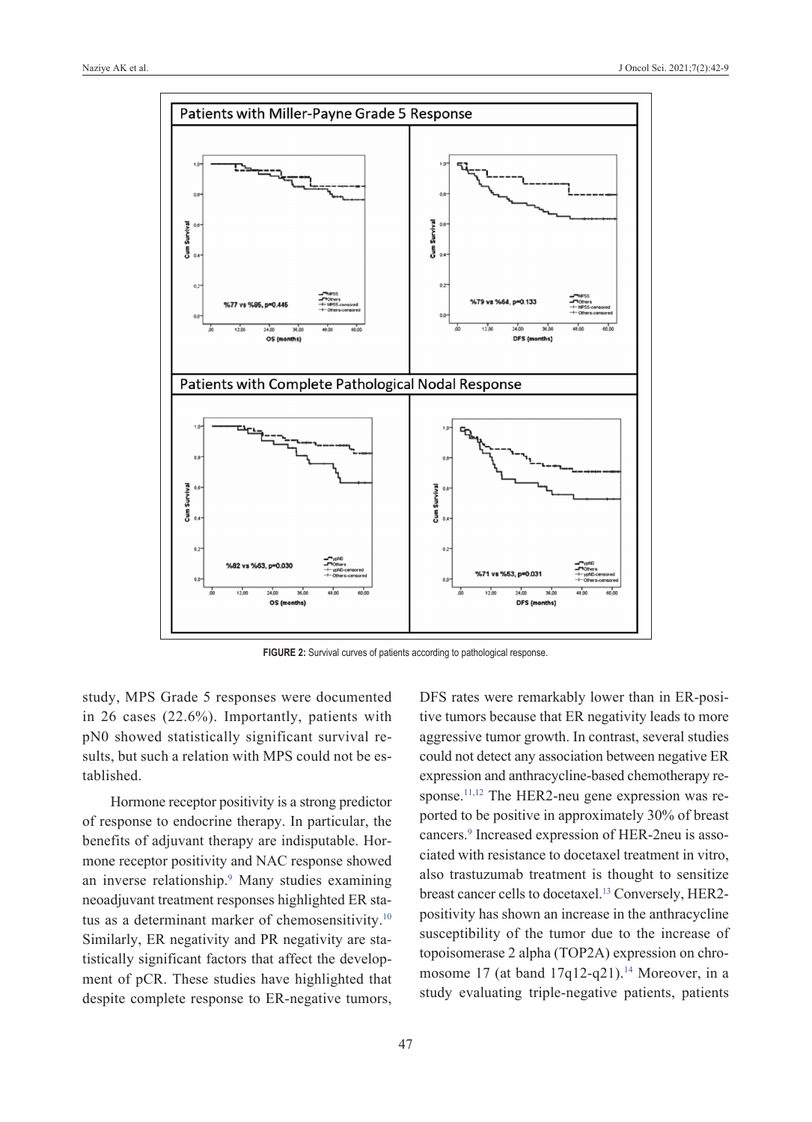

FIGURE 2: Survival curves of patients according to pathological response.

study, MPS Grade 5 responses were documented in 26 cases (22.6%). Importantly, patients with pN0 showed statistically significant survival results, but such a relation with MPS could not be established.

Hormone receptor positivity is a strong predictor of response to endocrine therapy. In particular, the benefits of adjuvant therapy are indisputable. Hormone receptor positivity and NAC response showed an inverse relationship.<sup>9</sup> Many studies examining neoadjuvant treatment responses highlighted ER status as a determinant marker of chemosensitivity.<sup>10</sup> Similarly, ER negativity and PR negativity are statistically significant factors that affect the development of pCR. These studies have highlighted that despite complete response to ER-negative tumors,

<span id="page-5-0"></span>DFS rates were remarkably lower than in ER-positive tumors because that ER negativity leads to more aggressive tumor growth. In contrast, several studies could not detect any association between negative ER expression and anthracycline-based chemotherapy response.<sup>11,12</sup> The HER2-neu gene expression was reported to be positive in approximately 30% of breast cancers[.9](#page-7-0) Increased expression of HER-2neu is associated with resistance to docetaxel treatment in vitro, also trastuzumab treatment is thought to sensitize breast cancer cells to docetaxel.<sup>13</sup> Conversely, HER2positivity has shown an increase in the anthracycline susceptibility of the tumor due to the increase of topoisomerase 2 alpha (TOP2A) expression on chromosome 17 (at band  $17q12-q21$ ).<sup>14</sup> Moreover, in a study evaluating triple-negative patients, patients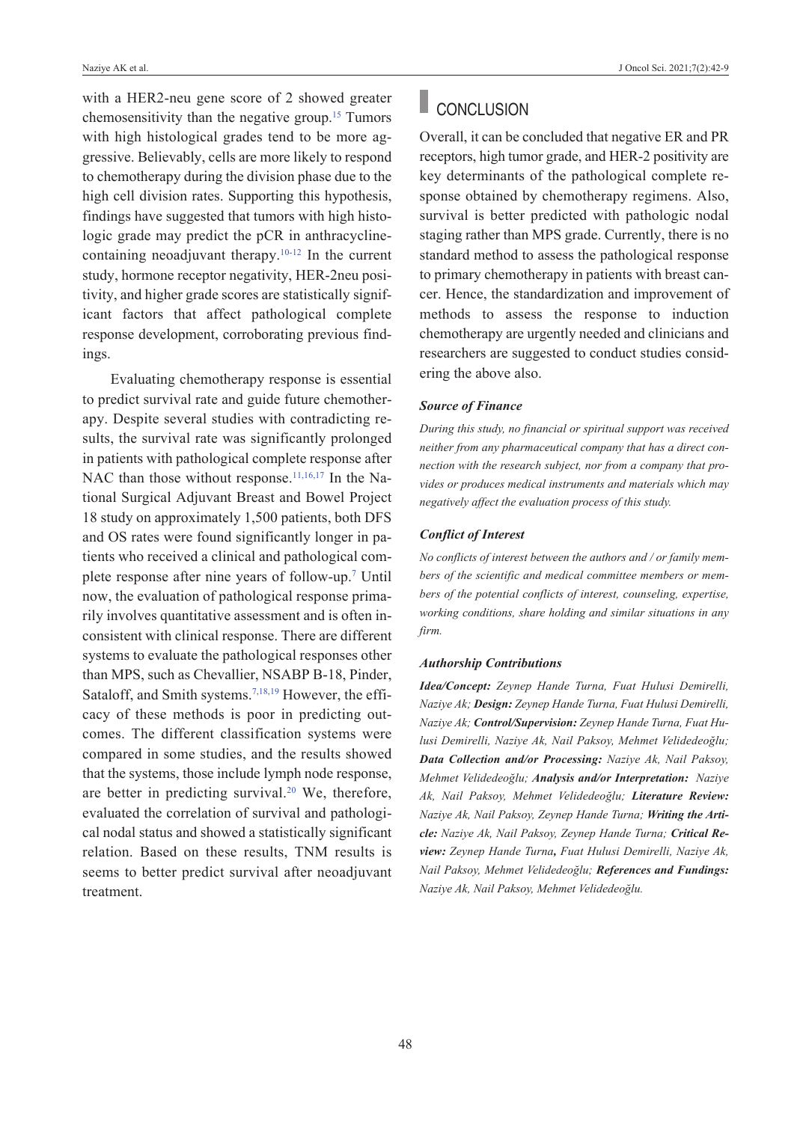with a HER2-neu gene score of 2 showed greater chemosensitivity than the negative group[.15](#page-7-0) Tumors with high histological grades tend to be more aggressive. Believably, cells are more likely to respond to chemotherapy during the division phase due to the high cell division rates. Supporting this hypothesis, findings have suggested that tumors with high histologic grade may predict the pCR in anthracyclinecontaining neoadjuvant therapy. $10-12$  In the current study, hormone receptor negativity, HER-2neu positivity, and higher grade scores are statistically significant factors that affect pathological complete response development, corroborating previous findings.

Evaluating chemotherapy response is essential to predict survival rate and guide future chemotherapy. Despite several studies with contradicting results, the survival rate was significantly prolonged in patients with pathological complete response after NAC than those without response.<sup>11,16,17</sup> In the National Surgical Adjuvant Breast and Bowel Project 18 study on approximately 1,500 patients, both DFS and OS rates were found significantly longer in patients who received a clinical and pathological complete response after nine years of follow-up[.7](#page-7-0) Until now, the evaluation of pathological response primarily involves quantitative assessment and is often inconsistent with clinical response. There are different systems to evaluate the pathological responses other than MPS, such as Chevallier, NSABP B-18, Pinder, Sataloff, and Smith systems.<sup>7,18,19</sup> However, the efficacy of these methods is poor in predicting outcomes. The different classification systems were compared in some studies, and the results showed that the systems, those include lymph node response, are better in predicting survival[.20](#page-7-0) We, therefore, evaluated the correlation of survival and pathological nodal status and showed a statistically significant relation. Based on these results, TNM results is seems to better predict survival after neoadjuvant treatment.

# CONCLUSION

Overall, it can be concluded that negative ER and PR receptors, high tumor grade, and HER-2 positivity are key determinants of the pathological complete response obtained by chemotherapy regimens. Also, survival is better predicted with pathologic nodal staging rather than MPS grade. Currently, there is no standard method to assess the pathological response to primary chemotherapy in patients with breast cancer. Hence, the standardization and improvement of methods to assess the response to induction chemotherapy are urgently needed and clinicians and researchers are suggested to conduct studies considering the above also.

### *Source of Finance*

*During this study, no financial or spiritual support was received neither from any pharmaceutical company that has a direct connection with the research subject, nor from a company that provides or produces medical instruments and materials which may negatively affect the evaluation process of this study.* 

## *Conflict of Interest*

*No conflicts of interest between the authors and / or family members of the scientific and medical committee members or members of the potential conflicts of interest, counseling, expertise, working conditions, share holding and similar situations in any firm.* 

#### *Authorship Contributions*

*Idea/Concept: Zeynep Hande Turna, Fuat Hulusi Demirelli, Naziye Ak; Design: Zeynep Hande Turna, Fuat Hulusi Demirelli, Naziye Ak; Control/Supervision: Zeynep Hande Turna, Fuat Hulusi Demirelli, Naziye Ak, Nail Paksoy, Mehmet Velidedeoğlu; Data Collection and/or Processing: Naziye Ak, Nail Paksoy, Mehmet Velidedeoğlu; Analysis and/or Interpretation: Naziye Ak, Nail Paksoy, Mehmet Velidedeoğlu; Literature Review: Naziye Ak, Nail Paksoy, Zeynep Hande Turna; Writing the Article: Naziye Ak, Nail Paksoy, Zeynep Hande Turna; Critical Review: Zeynep Hande Turna, Fuat Hulusi Demirelli, Naziye Ak, Nail Paksoy, Mehmet Velidedeoğlu; References and Fundings: Naziye Ak, Nail Paksoy, Mehmet Velidedeoğlu.*